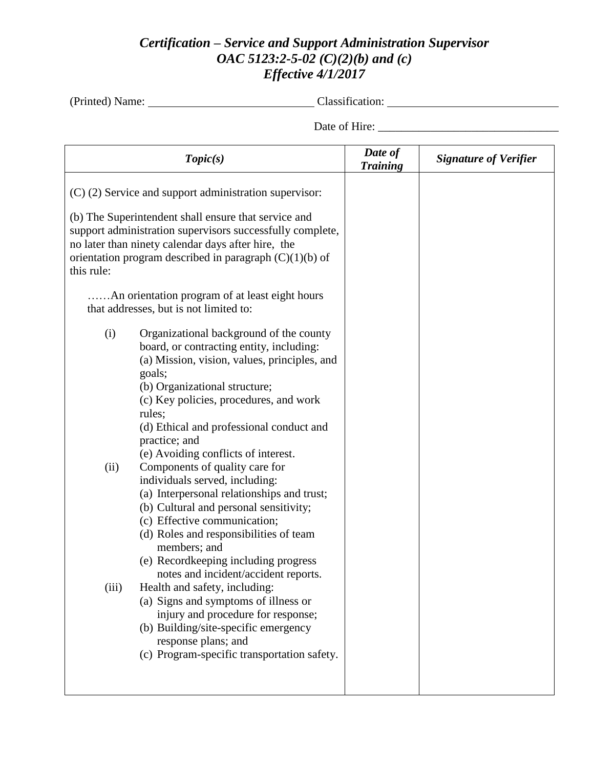## *Certification – Service and Support Administration Supervisor OAC 5123:2-5-02 (C)(2)(b) and (c) Effective 4/1/2017*

(Printed) Name: Classification:

Date of Hire: \_\_\_\_\_\_\_\_\_\_\_\_\_\_\_\_\_\_\_\_\_\_\_\_\_\_\_\_\_\_\_

|                                                                                                                                                                                                                                                    | Topic(s)                                                                                                                                                                                                                                                                                                                                                                                                                                                                                                                                                                                                                                                                     | Date of<br><b>Training</b> | <b>Signature of Verifier</b> |
|----------------------------------------------------------------------------------------------------------------------------------------------------------------------------------------------------------------------------------------------------|------------------------------------------------------------------------------------------------------------------------------------------------------------------------------------------------------------------------------------------------------------------------------------------------------------------------------------------------------------------------------------------------------------------------------------------------------------------------------------------------------------------------------------------------------------------------------------------------------------------------------------------------------------------------------|----------------------------|------------------------------|
| $(C)$ (2) Service and support administration supervisor:                                                                                                                                                                                           |                                                                                                                                                                                                                                                                                                                                                                                                                                                                                                                                                                                                                                                                              |                            |                              |
| (b) The Superintendent shall ensure that service and<br>support administration supervisors successfully complete,<br>no later than ninety calendar days after hire, the<br>orientation program described in paragraph $(C)(1)(b)$ of<br>this rule: |                                                                                                                                                                                                                                                                                                                                                                                                                                                                                                                                                                                                                                                                              |                            |                              |
| An orientation program of at least eight hours.<br>that addresses, but is not limited to:                                                                                                                                                          |                                                                                                                                                                                                                                                                                                                                                                                                                                                                                                                                                                                                                                                                              |                            |                              |
| (i)<br>(ii)                                                                                                                                                                                                                                        | Organizational background of the county<br>board, or contracting entity, including:<br>(a) Mission, vision, values, principles, and<br>goals;<br>(b) Organizational structure;<br>(c) Key policies, procedures, and work<br>rules;<br>(d) Ethical and professional conduct and<br>practice; and<br>(e) Avoiding conflicts of interest.<br>Components of quality care for<br>individuals served, including:<br>(a) Interpersonal relationships and trust;<br>(b) Cultural and personal sensitivity;<br>(c) Effective communication;<br>(d) Roles and responsibilities of team<br>members; and<br>(e) Recordkeeping including progress<br>notes and incident/accident reports. |                            |                              |
| (iii)                                                                                                                                                                                                                                              | Health and safety, including:<br>(a) Signs and symptoms of illness or<br>injury and procedure for response;<br>(b) Building/site-specific emergency<br>response plans; and<br>(c) Program-specific transportation safety.                                                                                                                                                                                                                                                                                                                                                                                                                                                    |                            |                              |